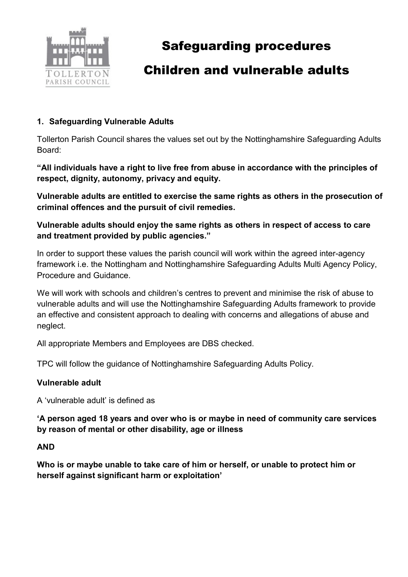

# Safeguarding procedures

### Children and vulnerable adults

### 1. Safeguarding Vulnerable Adults

Tollerton Parish Council shares the values set out by the Nottinghamshire Safeguarding Adults Board:

"All individuals have a right to live free from abuse in accordance with the principles of respect, dignity, autonomy, privacy and equity.

Vulnerable adults are entitled to exercise the same rights as others in the prosecution of criminal offences and the pursuit of civil remedies.

Vulnerable adults should enjoy the same rights as others in respect of access to care and treatment provided by public agencies."

In order to support these values the parish council will work within the agreed inter-agency framework i.e. the Nottingham and Nottinghamshire Safeguarding Adults Multi Agency Policy, Procedure and Guidance.

We will work with schools and children's centres to prevent and minimise the risk of abuse to vulnerable adults and will use the Nottinghamshire Safeguarding Adults framework to provide an effective and consistent approach to dealing with concerns and allegations of abuse and neglect.

All appropriate Members and Employees are DBS checked.

TPC will follow the guidance of Nottinghamshire Safeguarding Adults Policy.

#### Vulnerable adult

A 'vulnerable adult' is defined as

'A person aged 18 years and over who is or maybe in need of community care services by reason of mental or other disability, age or illness

#### AND

Who is or maybe unable to take care of him or herself, or unable to protect him or herself against significant harm or exploitation'